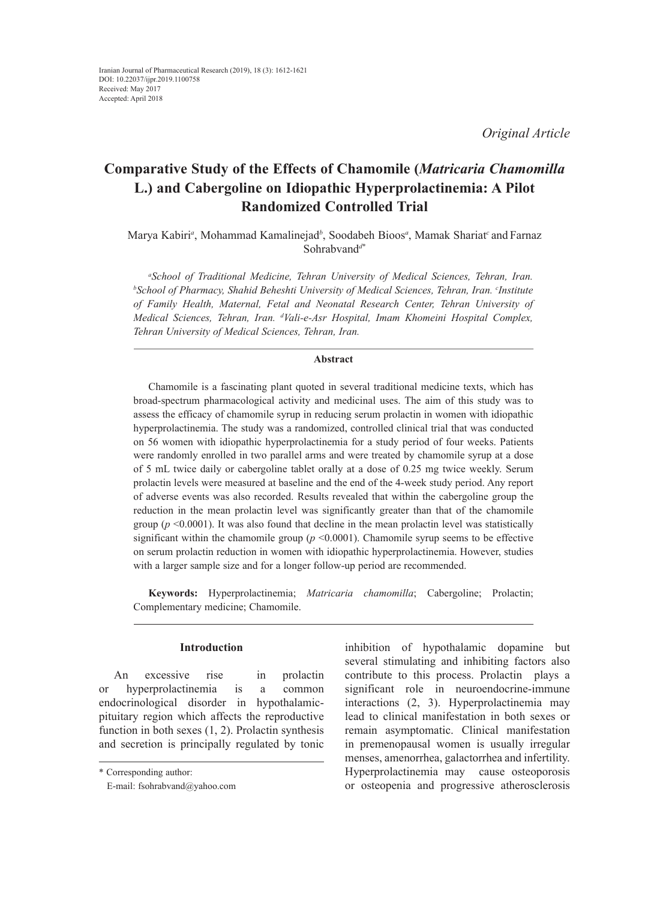*Original Article*

# **Comparative Study of the Effects of Chamomile (***Matricaria Chamomilla*  **L.) and Cabergoline on Idiopathic Hyperprolactinemia: A Pilot Randomized Controlled Trial**

# Marya Kabiri*<sup>a</sup>* , Mohammad Kamalinejad*<sup>b</sup>* , Soodabeh Bioos*<sup>a</sup>* , Mamak Shariat*<sup>c</sup>*and Farnaz Sohrabvand*<sup>d</sup>*\*

*a School of Traditional Medicine, Tehran University of Medical Sciences, Tehran, Iran. b School of Pharmacy, Shahid Beheshti University of Medical Sciences, Tehran, Iran. c Institute of Family Health, Maternal, Fetal and Neonatal Research Center, Tehran University of Medical Sciences, Tehran, Iran. d Vali-e-Asr Hospital, Imam Khomeini Hospital Complex, Tehran University of Medical Sciences, Tehran, Iran.*

#### **Abstract**

Chamomile is a fascinating plant quoted in several traditional medicine texts, which has broad-spectrum pharmacological activity and medicinal uses. The aim of this study was to assess the efficacy of chamomile syrup in reducing serum prolactin in women with idiopathic hyperprolactinemia. The study was a randomized, controlled clinical trial that was conducted on 56 women with idiopathic hyperprolactinemia for a study period of four weeks. Patients were randomly enrolled in two parallel arms and were treated by chamomile syrup at a dose of 5 mL twice daily or cabergoline tablet orally at a dose of 0.25 mg twice weekly. Serum prolactin levels were measured at baseline and the end of the 4-week study period. Any report of adverse events was also recorded. Results revealed that within the cabergoline group the reduction in the mean prolactin level was significantly greater than that of the chamomile group ( $p \le 0.0001$ ). It was also found that decline in the mean prolactin level was statistically significant within the chamomile group  $(p \le 0.0001)$ . Chamomile syrup seems to be effective on serum prolactin reduction in women with idiopathic hyperprolactinemia. However, studies with a larger sample size and for a longer follow-up period are recommended.

**Keywords:** Hyperprolactinemia; *Matricaria chamomilla*; Cabergoline; Prolactin; Complementary medicine; Chamomile.

#### **Introduction**

An excessive rise in prolactin or hyperprolactinemia is a common endocrinological disorder in hypothalamicpituitary region which affects the reproductive function in both sexes (1, 2). Prolactin synthesis and secretion is principally regulated by tonic

inhibition of hypothalamic dopamine but several stimulating and inhibiting factors also contribute to this process. Prolactin plays a significant role in neuroendocrine-immune interactions (2, 3). Hyperprolactinemia may lead to clinical manifestation in both sexes or remain asymptomatic. Clinical manifestation in premenopausal women is usually irregular menses, amenorrhea, galactorrhea and infertility. Hyperprolactinemia may cause osteoporosis or osteopenia and progressive atherosclerosis

<sup>\*</sup> Corresponding author:

E-mail: fsohrabvand@yahoo.com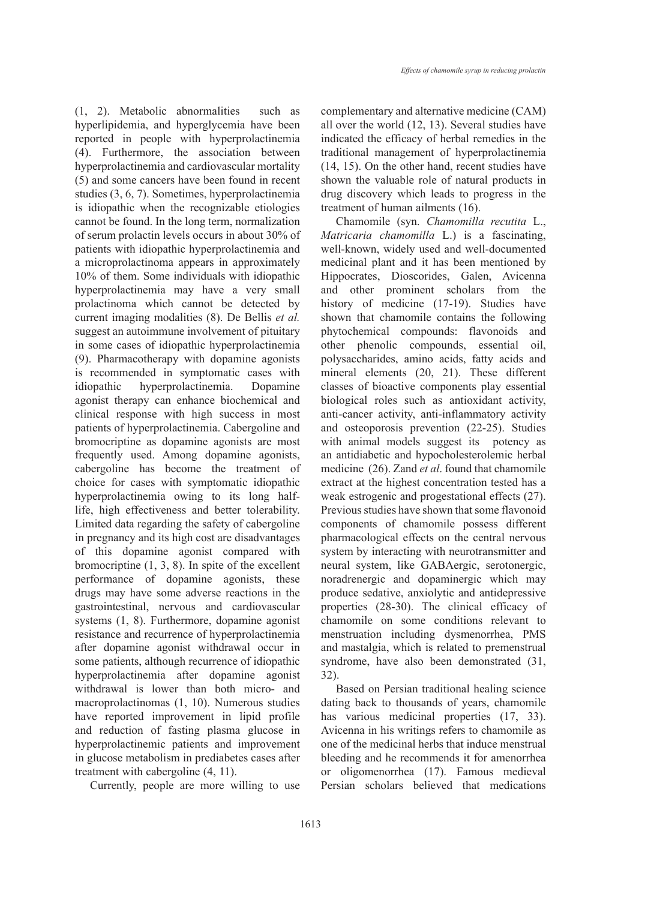(1, 2). Metabolic abnormalities such as hyperlipidemia, and hyperglycemia have been reported in people with hyperprolactinemia (4). Furthermore, the association between hyperprolactinemia and cardiovascular mortality (5) and some cancers have been found in recent studies (3, 6, 7). Sometimes, hyperprolactinemia is idiopathic when the recognizable etiologies cannot be found. In the long term, normalization of serum prolactin levels occurs in about 30% of patients with idiopathic hyperprolactinemia and a microprolactinoma appears in approximately 10% of them. Some individuals with idiopathic hyperprolactinemia may have a very small prolactinoma which cannot be detected by current imaging modalities (8). De Bellis *et al.* suggest an autoimmune involvement of pituitary in some cases of idiopathic hyperprolactinemia (9). Pharmacotherapy with dopamine agonists is recommended in symptomatic cases with idiopathic hyperprolactinemia. Dopamine agonist therapy can enhance biochemical and clinical response with high success in most patients of hyperprolactinemia. Cabergoline and bromocriptine as dopamine agonists are most frequently used. Among dopamine agonists, cabergoline has become the treatment of choice for cases with symptomatic idiopathic hyperprolactinemia owing to its long halflife, high effectiveness and better tolerability. Limited data regarding the safety of cabergoline in pregnancy and its high cost are disadvantages of this dopamine agonist compared with bromocriptine (1, 3, 8). In spite of the excellent performance of dopamine agonists, these drugs may have some adverse reactions in the gastrointestinal, nervous and cardiovascular systems (1, 8). Furthermore, dopamine agonist resistance and recurrence of hyperprolactinemia after dopamine agonist withdrawal occur in some patients, although recurrence of idiopathic hyperprolactinemia after dopamine agonist withdrawal is lower than both micro- and macroprolactinomas (1, 10). Numerous studies have reported improvement in lipid profile and reduction of fasting plasma glucose in hyperprolactinemic patients and improvement in glucose metabolism in prediabetes cases after treatment with cabergoline (4, 11).

Currently, people are more willing to use

complementary and alternative medicine (CAM) all over the world (12, 13). Several studies have indicated the efficacy of herbal remedies in the traditional management of hyperprolactinemia (14, 15). On the other hand, recent studies have shown the valuable role of natural products in drug discovery which leads to progress in the treatment of human ailments (16).

Chamomile (syn. *Chamomilla recutita* L., *Matricaria chamomilla* L.) is a fascinating, well-known, widely used and well-documented medicinal plant and it has been mentioned by Hippocrates, Dioscorides, Galen, Avicenna and other prominent scholars from the history of medicine (17-19). Studies have shown that chamomile contains the following phytochemical compounds: flavonoids and other phenolic compounds, essential oil, polysaccharides, amino acids, fatty acids and mineral elements (20, 21). These different classes of bioactive components play essential biological roles such as antioxidant activity, anti-cancer activity, anti-inflammatory activity and osteoporosis prevention (22-25). Studies with animal models suggest its potency as an antidiabetic and hypocholesterolemic herbal medicine (26). Zand *et al*. found that chamomile extract at the highest concentration tested has a weak estrogenic and progestational effects (27). Previous studies have shown that some flavonoid components of chamomile possess different pharmacological effects on the central nervous system by interacting with neurotransmitter and neural system, like GABAergic, serotonergic, noradrenergic and dopaminergic which may produce sedative, anxiolytic and antidepressive properties (28-30). The clinical efficacy of chamomile on some conditions relevant to menstruation including dysmenorrhea, PMS and mastalgia, which is related to premenstrual syndrome, have also been demonstrated (31, 32).

Based on Persian traditional healing science dating back to thousands of years, chamomile has various medicinal properties (17, 33). Avicenna in his writings refers to chamomile as one of the medicinal herbs that induce menstrual bleeding and he recommends it for amenorrhea or oligomenorrhea (17). Famous medieval Persian scholars believed that medications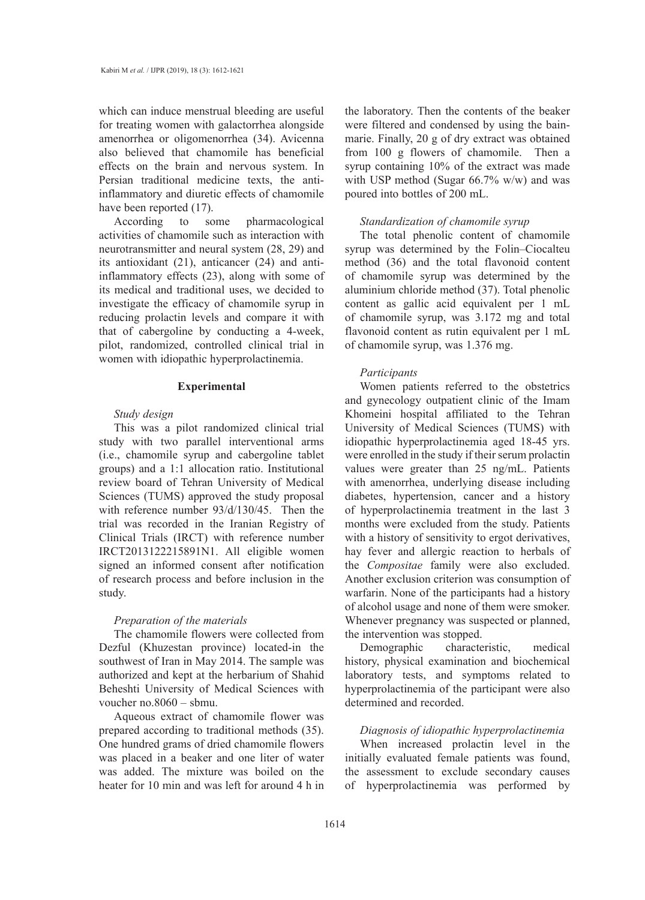which can induce menstrual bleeding are useful for treating women with galactorrhea alongside amenorrhea or oligomenorrhea (34). Avicenna also believed that chamomile has beneficial effects on the brain and nervous system. In Persian traditional medicine texts, the antiinflammatory and diuretic effects of chamomile have been reported (17).

According to some pharmacological activities of chamomile such as interaction with neurotransmitter and neural system (28, 29) and its antioxidant (21), anticancer (24) and antiinflammatory effects (23), along with some of its medical and traditional uses, we decided to investigate the efficacy of chamomile syrup in reducing prolactin levels and compare it with that of cabergoline by conducting a 4-week, pilot, randomized, controlled clinical trial in women with idiopathic hyperprolactinemia.

#### **Experimental**

## *Study design*

This was a pilot randomized clinical trial study with two parallel interventional arms (i.e., chamomile syrup and cabergoline tablet groups) and a 1:1 allocation ratio. Institutional review board of Tehran University of Medical Sciences (TUMS) approved the study proposal with reference number 93/d/130/45. Then the trial was recorded in the Iranian Registry of Clinical Trials (IRCT) with reference number IRCT2013122215891N1. All eligible women signed an informed consent after notification of research process and before inclusion in the study.

## *Preparation of the materials*

The chamomile flowers were collected from Dezful (Khuzestan province) located-in the southwest of Iran in May 2014. The sample was authorized and kept at the herbarium of Shahid Beheshti University of Medical Sciences with voucher no.8060 – sbmu.

Aqueous extract of chamomile flower was prepared according to traditional methods (35). One hundred grams of dried chamomile flowers was placed in a beaker and one liter of water was added. The mixture was boiled on the heater for 10 min and was left for around 4 h in the laboratory. Then the contents of the beaker were filtered and condensed by using the bainmarie. Finally, 20 g of dry extract was obtained from 100 g flowers of chamomile. Then a syrup containing 10% of the extract was made with USP method (Sugar 66.7% w/w) and was poured into bottles of 200 mL.

#### *Standardization of chamomile syrup*

The total phenolic content of chamomile syrup was determined by the Folin–Ciocalteu method (36) and the total flavonoid content of chamomile syrup was determined by the aluminium chloride method (37). Total phenolic content as gallic acid equivalent per 1 mL of chamomile syrup, was 3.172 mg and total flavonoid content as rutin equivalent per 1 mL of chamomile syrup, was 1.376 mg.

#### *Participants*

Women patients referred to the obstetrics and gynecology outpatient clinic of the Imam Khomeini hospital affiliated to the Tehran University of Medical Sciences (TUMS) with idiopathic hyperprolactinemia aged 18-45 yrs. were enrolled in the study if their serum prolactin values were greater than 25 ng/mL. Patients with amenorrhea, underlying disease including diabetes, hypertension, cancer and a history of hyperprolactinemia treatment in the last 3 months were excluded from the study. Patients with a history of sensitivity to ergot derivatives, hay fever and allergic reaction to herbals of the *Compositae* family were also excluded. Another exclusion criterion was consumption of warfarin. None of the participants had a history of alcohol usage and none of them were smoker. Whenever pregnancy was suspected or planned, the intervention was stopped.

Demographic characteristic, medical history, physical examination and biochemical laboratory tests, and symptoms related to hyperprolactinemia of the participant were also determined and recorded.

## *Diagnosis of idiopathic hyperprolactinemia*

When increased prolactin level in the initially evaluated female patients was found, the assessment to exclude secondary causes of hyperprolactinemia was performed by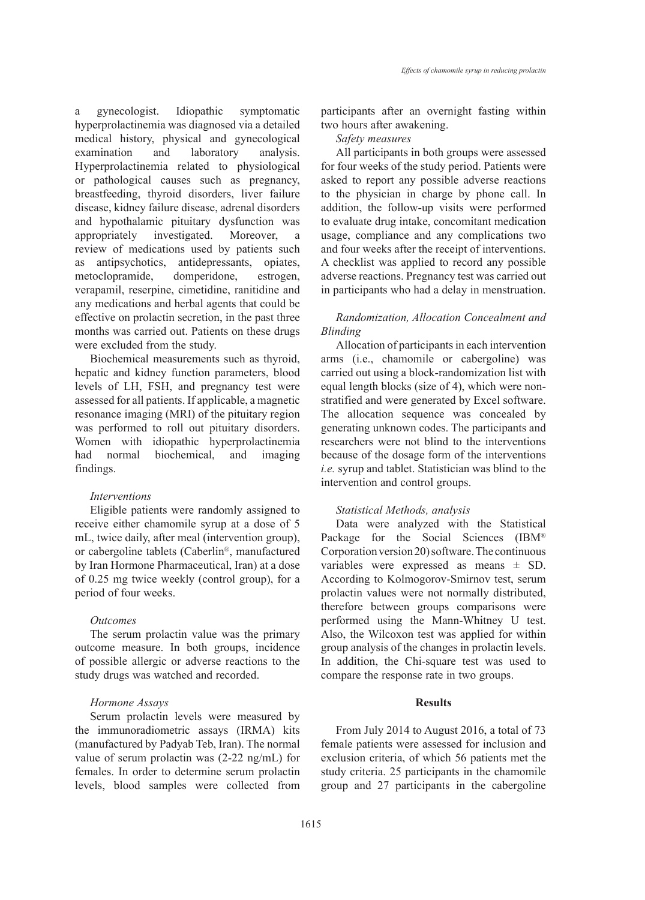a gynecologist. Idiopathic symptomatic hyperprolactinemia was diagnosed via a detailed medical history, physical and gynecological examination and laboratory analysis. Hyperprolactinemia related to physiological or pathological causes such as pregnancy, breastfeeding, thyroid disorders, liver failure disease, kidney failure disease, adrenal disorders and hypothalamic pituitary dysfunction was appropriately investigated. Moreover, a review of medications used by patients such

as antipsychotics, antidepressants, opiates, metoclopramide, domperidone, estrogen, verapamil, reserpine, cimetidine, ranitidine and any medications and herbal agents that could be effective on prolactin secretion, in the past three months was carried out. Patients on these drugs were excluded from the study.

Biochemical measurements such as thyroid, hepatic and kidney function parameters, blood levels of LH, FSH, and pregnancy test were assessed for all patients. If applicable, a magnetic resonance imaging (MRI) of the pituitary region was performed to roll out pituitary disorders. Women with idiopathic hyperprolactinemia had normal biochemical, and imaging findings.

## *Interventions*

Eligible patients were randomly assigned to receive either chamomile syrup at a dose of 5 mL, twice daily, after meal (intervention group), or cabergoline tablets (Caberlin®, manufactured by Iran Hormone Pharmaceutical, Iran) at a dose of 0.25 mg twice weekly (control group), for a period of four weeks.

#### *Outcomes*

The serum prolactin value was the primary outcome measure. In both groups, incidence of possible allergic or adverse reactions to the study drugs was watched and recorded.

#### *Hormone Assays*

Serum prolactin levels were measured by the immunoradiometric assays (IRMA) kits (manufactured by Padyab Teb, Iran). The normal value of serum prolactin was (2-22 ng/mL) for females. In order to determine serum prolactin levels, blood samples were collected from participants after an overnight fasting within two hours after awakening.

*Safety measures*

All participants in both groups were assessed for four weeks of the study period. Patients were asked to report any possible adverse reactions to the physician in charge by phone call. In addition, the follow-up visits were performed to evaluate drug intake, concomitant medication usage, compliance and any complications two and four weeks after the receipt of interventions. A checklist was applied to record any possible adverse reactions. Pregnancy test was carried out in participants who had a delay in menstruation.

## *Randomization, Allocation Concealment and Blinding*

Allocation of participants in each intervention arms (i.e., chamomile or cabergoline) was carried out using a block-randomization list with equal length blocks (size of 4), which were nonstratified and were generated by Excel software. The allocation sequence was concealed by generating unknown codes. The participants and researchers were not blind to the interventions because of the dosage form of the interventions *i.e.* syrup and tablet. Statistician was blind to the intervention and control groups.

# *Statistical Methods, analysis*

Data were analyzed with the Statistical Package for the Social Sciences (IBM® Corporation version 20) software. The continuous variables were expressed as means ± SD. According to Kolmogorov-Smirnov test, serum prolactin values were not normally distributed, therefore between groups comparisons were performed using the Mann-Whitney U test. Also, the Wilcoxon test was applied for within group analysis of the changes in prolactin levels. In addition, the Chi-square test was used to compare the response rate in two groups.

# **Results**

From July 2014 to August 2016, a total of 73 female patients were assessed for inclusion and exclusion criteria, of which 56 patients met the study criteria. 25 participants in the chamomile group and 27 participants in the cabergoline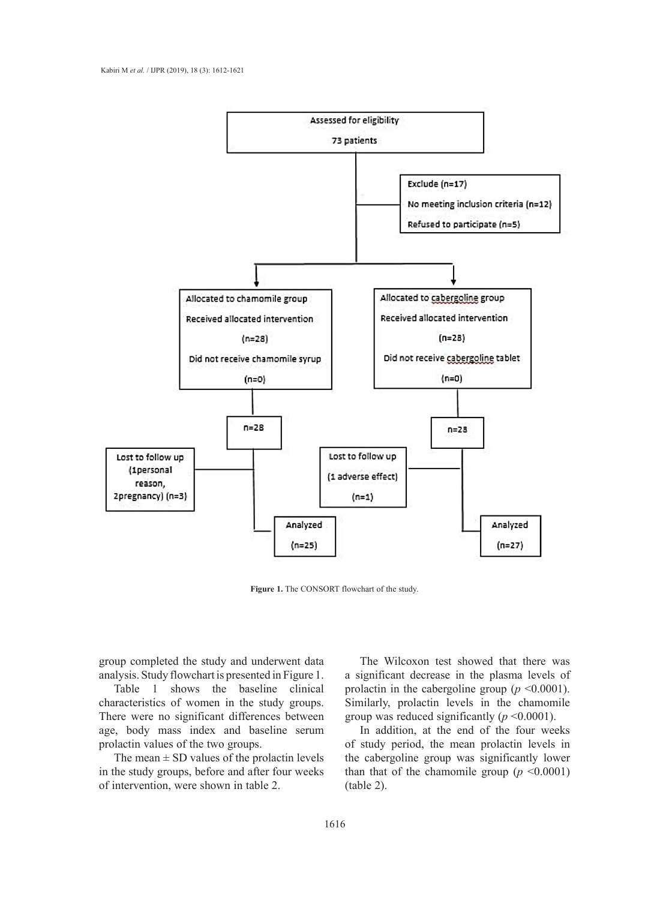

**Figure 1.** The CONSORT flowchart of the study.

group completed the study and underwent data analysis. Study flowchart is presented in Figure 1.

Table 1 shows the baseline clinical characteristics of women in the study groups. There were no significant differences between age, body mass index and baseline serum prolactin values of the two groups.

The mean  $\pm$  SD values of the prolactin levels in the study groups, before and after four weeks

The Wilcoxon test showed that there was a significant decrease in the plasma levels of prolactin in the cabergoline group  $(p \le 0.0001)$ . Similarly, prolactin levels in the chamomile group was reduced significantly  $(p \le 0.0001)$ .

of intervention, were shown in table 2. (table 2). In addition, at the end of the four weeks of study period, the mean prolactin levels in prolactin values of the two groups.<br>The mean  $\pm$  SD values of the prolactin levels the cabergoline group was significantly lower than that of the chamomile group  $(p \le 0.0001)$ (table 2).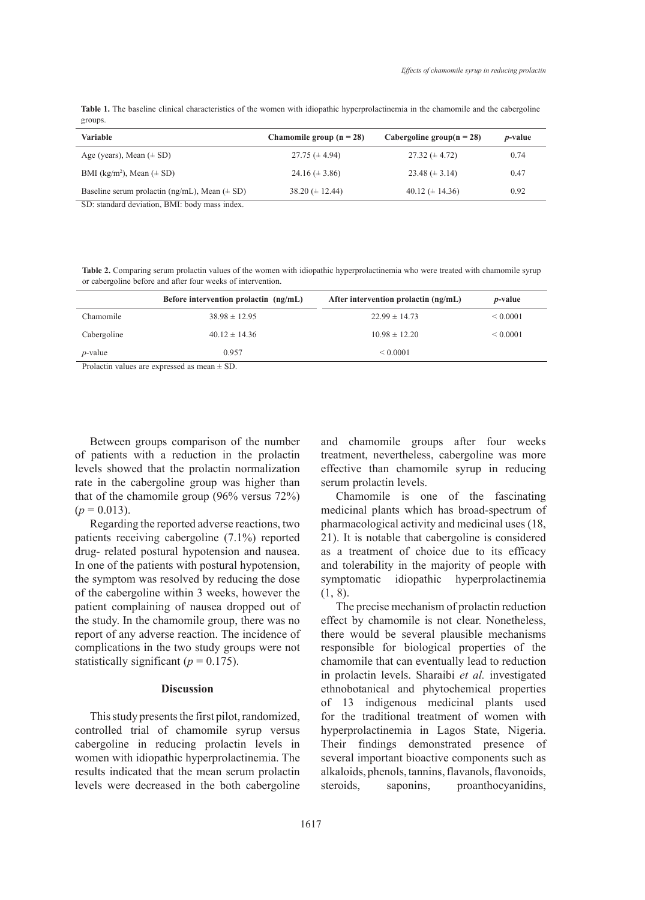| Table 1. The baseline clinical characteristics of the women with idiopathic hyperprolactinemia in the chamomile and the cabergoline |  |  |  |
|-------------------------------------------------------------------------------------------------------------------------------------|--|--|--|
| groups.                                                                                                                             |  |  |  |

| <b>Variable</b>                                   | Chamomile group $(n = 28)$ | Cabergoline group( $n = 28$ ) | <i>p</i> -value |
|---------------------------------------------------|----------------------------|-------------------------------|-----------------|
| Age (years), Mean $(\pm SD)$                      | $27.75 \ (\pm 4.94)$       | $27.32 \ (\pm 4.72)$          | 0.74            |
| BMI (kg/m <sup>2</sup> ), Mean ( $\pm$ SD)        | 24.16 $(\pm 3.86)$         | 23.48 $(\pm 3.14)$            | 0.47            |
| Baseline serum prolactin (ng/mL), Mean $(\pm SD)$ | $38.20 \ (\pm 12.44)$      | 40.12 ( $\pm$ 14.36)          | 0.92            |

SD: standard deviation, BMI: body mass index.

**Table 2.** Comparing serum prolactin values of the women with idiopathic hyperprolactinemia who were treated with chamomile syrup or cabergoline before and after four weeks of intervention.

|                                                                                                                                                                                                                                                                                                                 | Before intervention prolactin $(ng/mL)$ | After intervention prolactin $(ng/mL)$ | <i>p</i> -value |  |  |
|-----------------------------------------------------------------------------------------------------------------------------------------------------------------------------------------------------------------------------------------------------------------------------------------------------------------|-----------------------------------------|----------------------------------------|-----------------|--|--|
| Chamomile                                                                                                                                                                                                                                                                                                       | $38.98 \pm 12.95$                       | $22.99 \pm 14.73$                      | ${}_{0.0001}$   |  |  |
| Cabergoline                                                                                                                                                                                                                                                                                                     | $40.12 \pm 14.36$                       | $10.98 \pm 12.20$                      | < 0.0001        |  |  |
| $p$ -value                                                                                                                                                                                                                                                                                                      | 0.957                                   | ${}_{0.0001}$                          |                 |  |  |
| $\mathbf{n}$ 1 $\mathbf{l}$ 1 1 $\mathbf{c}$ 1 1 $\mathbf{c}$ 1 $\mathbf{c}$ 1 $\mathbf{c}$ 1 $\mathbf{c}$ 1 $\mathbf{c}$ 1 $\mathbf{c}$ 1 $\mathbf{c}$ 1 $\mathbf{c}$ 1 $\mathbf{c}$ 1 $\mathbf{c}$ 1 $\mathbf{c}$ 1 $\mathbf{c}$ 1 $\mathbf{c}$ 1 $\mathbf{c}$ 1 $\mathbf{c}$ 1 $\mathbf{c}$ 1 $\mathbf{c}$ 1 |                                         |                                        |                 |  |  |

Prolactin values are expressed as mean  $\pm$  SD.

Between groups comparison of the number of patients with a reduction in the prolactin levels showed that the prolactin normalization rate in the cabergoline group was higher than that of the chamomile group (96% versus 72%)  $(p = 0.013)$ .

Regarding the reported adverse reactions, two patients receiving cabergoline (7.1%) reported drug- related postural hypotension and nausea. In one of the patients with postural hypotension, the symptom was resolved by reducing the dose of the cabergoline within 3 weeks, however the patient complaining of nausea dropped out of the study. In the chamomile group, there was no report of any adverse reaction. The incidence of complications in the two study groups were not statistically significant ( $p = 0.175$ ).

#### **Discussion**

This study presents the first pilot, randomized, controlled trial of chamomile syrup versus cabergoline in reducing prolactin levels in women with idiopathic hyperprolactinemia. The results indicated that the mean serum prolactin levels were decreased in the both cabergoline and chamomile groups after four weeks treatment, nevertheless, cabergoline was more effective than chamomile syrup in reducing serum prolactin levels.

Chamomile is one of the fascinating medicinal plants which has broad-spectrum of pharmacological activity and medicinal uses (18, 21). It is notable that cabergoline is considered as a treatment of choice due to its efficacy and tolerability in the majority of people with symptomatic idiopathic hyperprolactinemia (1, 8).

The precise mechanism of prolactin reduction effect by chamomile is not clear. Nonetheless, there would be several plausible mechanisms responsible for biological properties of the chamomile that can eventually lead to reduction in prolactin levels. Sharaibi *et al.* investigated ethnobotanical and phytochemical properties of 13 indigenous medicinal plants used for the traditional treatment of women with hyperprolactinemia in Lagos State, Nigeria. Their findings demonstrated presence of several important bioactive components such as alkaloids, phenols, tannins, flavanols, flavonoids, steroids, saponins, proanthocyanidins,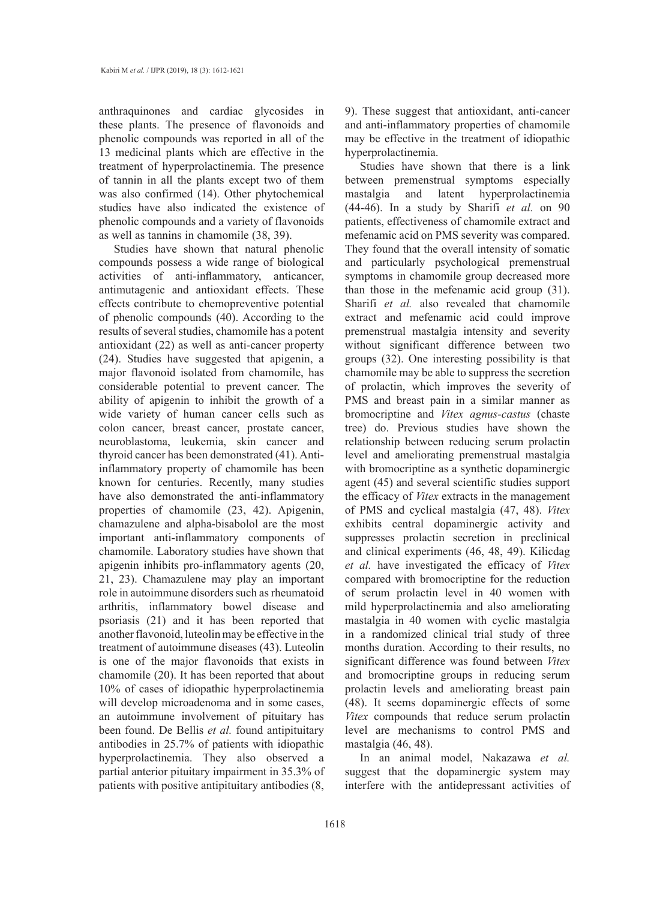anthraquinones and cardiac glycosides in these plants. The presence of flavonoids and phenolic compounds was reported in all of the 13 medicinal plants which are effective in the treatment of hyperprolactinemia. The presence of tannin in all the plants except two of them was also confirmed (14). Other phytochemical studies have also indicated the existence of phenolic compounds and a variety of flavonoids as well as tannins in chamomile (38, 39).

Studies have shown that natural phenolic compounds possess a wide range of biological activities of anti-inflammatory, anticancer, antimutagenic and antioxidant effects. These effects contribute to chemopreventive potential of phenolic compounds (40). According to the results of several studies, chamomile has a potent antioxidant (22) as well as anti-cancer property (24). Studies have suggested that apigenin, a major flavonoid isolated from chamomile, has considerable potential to prevent cancer. The ability of apigenin to inhibit the growth of a wide variety of human cancer cells such as colon cancer, breast cancer, prostate cancer, neuroblastoma, leukemia, skin cancer and thyroid cancer has been demonstrated (41). Antiinflammatory property of chamomile has been known for centuries. Recently, many studies have also demonstrated the anti-inflammatory properties of chamomile (23, 42). Apigenin, chamazulene and alpha-bisabolol are the most important anti-inflammatory components of chamomile. Laboratory studies have shown that apigenin inhibits pro-inflammatory agents (20, 21, 23). Chamazulene may play an important role in autoimmune disorders such as rheumatoid arthritis, inflammatory bowel disease and psoriasis (21) and it has been reported that another flavonoid, luteolin may be effective in the treatment of autoimmune diseases (43). Luteolin is one of the major flavonoids that exists in chamomile (20). It has been reported that about 10% of cases of idiopathic hyperprolactinemia will develop microadenoma and in some cases, an autoimmune involvement of pituitary has been found. De Bellis *et al.* found antipituitary antibodies in 25.7% of patients with idiopathic hyperprolactinemia. They also observed a partial anterior pituitary impairment in 35.3% of patients with positive antipituitary antibodies (8, 9). These suggest that antioxidant, anti-cancer and anti-inflammatory properties of chamomile may be effective in the treatment of idiopathic hyperprolactinemia.

Studies have shown that there is a link between premenstrual symptoms especially mastalgia and latent hyperprolactinemia (44-46). In a study by Sharifi *et al.* on 90 patients, effectiveness of chamomile extract and mefenamic acid on PMS severity was compared. They found that the overall intensity of somatic and particularly psychological premenstrual symptoms in chamomile group decreased more than those in the mefenamic acid group (31). Sharifi *et al.* also revealed that chamomile extract and mefenamic acid could improve premenstrual mastalgia intensity and severity without significant difference between two groups (32). One interesting possibility is that chamomile may be able to suppress the secretion of prolactin, which improves the severity of PMS and breast pain in a similar manner as bromocriptine and *Vitex agnus-castus* (chaste tree) do. Previous studies have shown the relationship between reducing serum prolactin level and ameliorating premenstrual mastalgia with bromocriptine as a synthetic dopaminergic agent (45) and several scientific studies support the efficacy of *Vitex* extracts in the management of PMS and cyclical mastalgia (47, 48). *Vitex* exhibits central dopaminergic activity and suppresses prolactin secretion in preclinical and clinical experiments (46, 48, 49). Kilicdag *et al.* have investigated the efficacy of *Vitex*  compared with bromocriptine for the reduction of serum prolactin level in 40 women with mild hyperprolactinemia and also ameliorating mastalgia in 40 women with cyclic mastalgia in a randomized clinical trial study of three months duration. According to their results, no significant difference was found between *Vitex* and bromocriptine groups in reducing serum prolactin levels and ameliorating breast pain (48). It seems dopaminergic effects of some *Vitex* compounds that reduce serum prolactin level are mechanisms to control PMS and mastalgia (46, 48).

In an animal model, Nakazawa *et al.* suggest that the dopaminergic system may interfere with the antidepressant activities of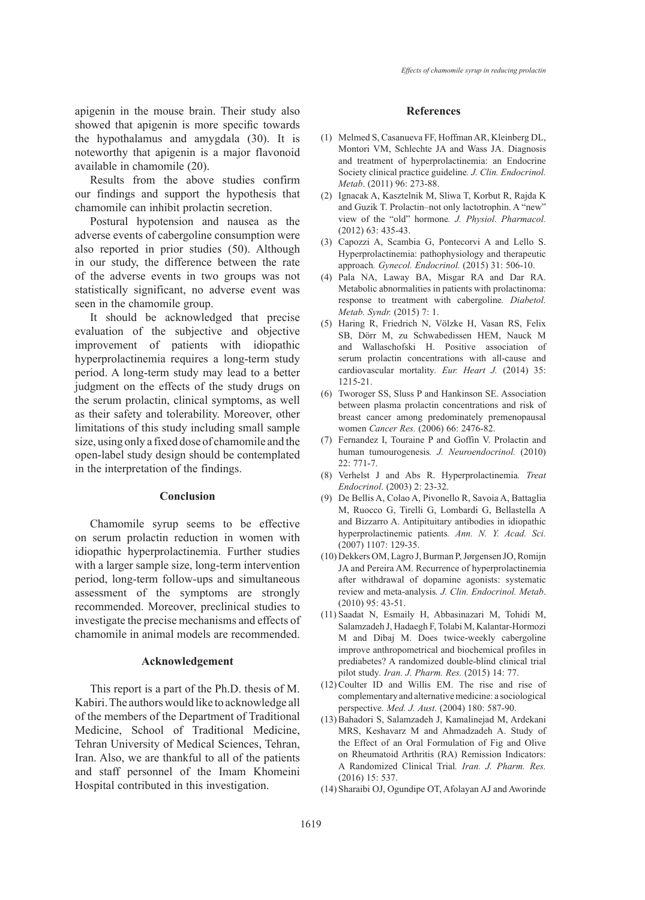apigenin in the mouse brain. Their study also showed that apigenin is more specific towards the hypothalamus and amygdala (30). It is noteworthy that apigenin is a major flavonoid available in chamomile (20).

Results from the above studies confirm our findings and support the hypothesis that chamomile can inhibit prolactin secretion.

Postural hypotension and nausea as the adverse events of cabergoline consumption were also reported in prior studies (50). Although in our study, the difference between the rate of the adverse events in two groups was not statistically significant, no adverse event was seen in the chamomile group.

It should be acknowledged that precise evaluation of the subjective and objective improvement of patients with idiopathic hyperprolactinemia requires a long-term study period. A long-term study may lead to a better judgment on the effects of the study drugs on the serum prolactin, clinical symptoms, as well as their safety and tolerability. Moreover, other limitations of this study including small sample size, using only a fixed dose of chamomile and the open-label study design should be contemplated in the interpretation of the findings.

## **Conclusion**

Chamomile syrup seems to be effective on serum prolactin reduction in women with idiopathic hyperprolactinemia. Further studies with a larger sample size, long-term intervention period, long-term follow-ups and simultaneous assessment of the symptoms are strongly recommended. Moreover, preclinical studies to investigate the precise mechanisms and effects of chamomile in animal models are recommended.

#### **Acknowledgement**

This report is a part of the Ph.D. thesis of M. Kabiri. The authors would like to acknowledge all of the members of the Department of Traditional Medicine, School of Traditional Medicine, Tehran University of Medical Sciences, Tehran, Iran. Also, we are thankful to all of the patients and staff personnel of the Imam Khomeini Hospital contributed in this investigation.

#### **References**

- Melmed S, Casanueva FF, Hoffman AR, Kleinberg DL, (1) Montori VM, Schlechte JA and Wass JA. Diagnosis and treatment of hyperprolactinemia: an Endocrine Society clinical practice guideline*. J. Clin. Endocrinol. Metab*. (2011) 96: 273-88.
- (2) Ignacak A, Kasztelnik M, Sliwa T, Korbut R, Rajda K and Guzik T. Prolactin–not only lactotrophin. A "new" view of the "old" hormone*. J. Physiol. Pharmacol.* (2012) 63: 435-43.
- Capozzi A, Scambia G, Pontecorvi A and Lello S. (3) Hyperprolactinemia: pathophysiology and therapeutic approach*. Gynecol. Endocrinol.* (2015) 31: 506-10.
- Pala NA, Laway BA, Misgar RA and Dar RA. (4) Metabolic abnormalities in patients with prolactinoma: response to treatment with cabergoline*. Diabetol. Metab. Syndr.* (2015) 7: 1.
- (5) Haring R, Friedrich N, Völzke H, Vasan RS, Felix SB, Dörr M, zu Schwabedissen HEM, Nauck M and Wallaschofski H. Positive association of serum prolactin concentrations with all-cause and cardiovascular mortality*. Eur. Heart J.* (2014) 35: 1215-21.
- Tworoger SS, Sluss P and Hankinson SE. Association (6) between plasma prolactin concentrations and risk of breast cancer among predominately premenopausal women *Cancer Res.* (2006) 66: 2476-82.
- Fernandez I, Touraine P and Goffin V. Prolactin and (7) human tumourogenesis*. J. Neuroendocrinol.* (2010) 22: 771-7.
- Verhelst J and Abs R. Hyperprolactinemia*. Treat*  (8) *Endocrinol*. (2003) 2: 23-32.
- De Bellis A, Colao A, Pivonello R, Savoia A, Battaglia (9) M, Ruocco G, Tirelli G, Lombardi G, Bellastella A and Bizzarro A. Antipituitary antibodies in idiopathic hyperprolactinemic patients*. Ann. N. Y. Acad. Sci.* (2007) 1107: 129-35.
- (10) Dekkers OM, Lagro J, Burman P, Jørgensen JO, Romijn JA and Pereira AM. Recurrence of hyperprolactinemia after withdrawal of dopamine agonists: systematic review and meta-analysis*. J. Clin. Endocrinol. Metab*. (2010) 95: 43-51.
- (11) Saadat N, Esmaily H, Abbasinazari M, Tohidi M, Salamzadeh J, Hadaegh F, Tolabi M, Kalantar-Hormozi M and Dibaj M. Does twice-weekly cabergoline improve anthropometrical and biochemical profiles in prediabetes? A randomized double-blind clinical trial pilot study*. Iran. J. Pharm. Res.* (2015) 14: 77.
- $(12)$  Coulter ID and Willis EM. The rise and rise of complementary and alternative medicine: a sociological perspective*. Med. J. Aust*. (2004) 180: 587-90.
- (13) Bahadori S, Salamzadeh J, Kamalinejad M, Ardekani MRS, Keshavarz M and Ahmadzadeh A. Study of the Effect of an Oral Formulation of Fig and Olive on Rheumatoid Arthritis (RA) Remission Indicators: A Randomized Clinical Trial*. Iran. J. Pharm. Res.*  (2016) 15: 537.
- (14) Sharaibi OJ, Ogundipe OT, Afolayan AJ and Aworinde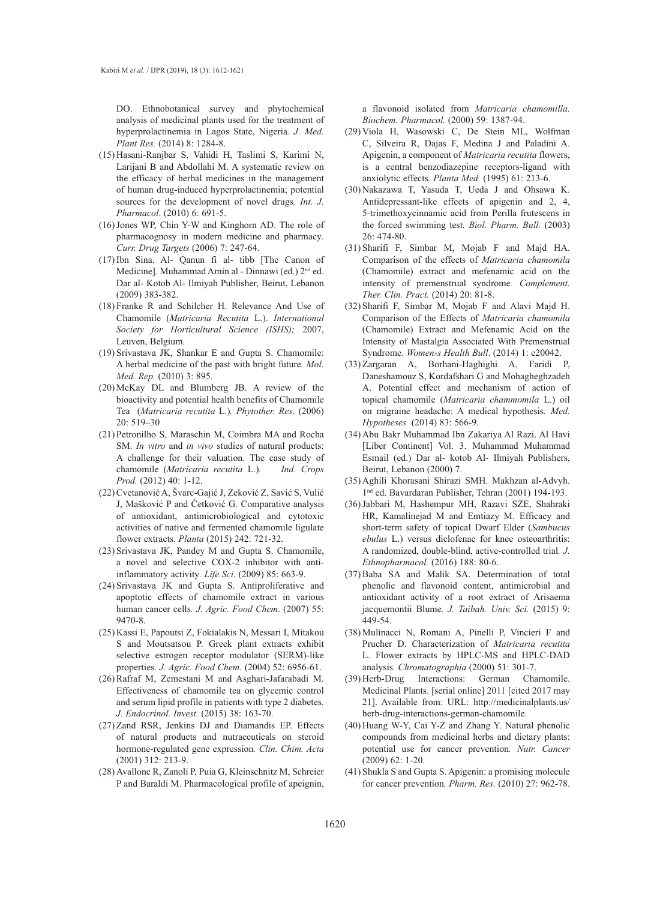DO. Ethnobotanical survey and phytochemical analysis of medicinal plants used for the treatment of hyperprolactinemia in Lagos State, Nigeria*. J. Med. Plant Res.* (2014) 8: 1284-8.

- (15) Hasani-Ranjbar S, Vahidi H, Taslimi S, Karimi N, Larijani B and Abdollahi M. A systematic review on the efficacy of herbal medicines in the management of human drug-induced hyperprolactinemia; potential sources for the development of novel drugs*. Int. J. Pharmacol*. (2010) 6: 691-5.
- $(16)$  Jones WP, Chin Y-W and Kinghorn AD. The role of pharmacognosy in modern medicine and pharmacy*. Curr. Drug Targets* (2006) 7: 247-64.
- (17) Ibn Sina. Al- Qanun fi al- tibb [The Canon of Medicine]. Muhammad Amin al - Dinnawi (ed.) 2nd ed. Dar al- Kotob Al- Ilmiyah Publisher, Beirut, Lebanon (2009) 383-382.
- (18) Franke R and Schilcher H. Relevance And Use of Chamomile (*Matricaria Recutita* L.). *International Society for Horticultural Science (ISHS);* 2007, Leuven, Belgium*.*
- (19) Srivastava JK, Shankar E and Gupta S. Chamomile: A herbal medicine of the past with bright future*. Mol. Med. Rep.* (2010) 3: 895.
- $(20)$  McKay DL and Blumberg JB. A review of the bioactivity and potential health benefits of Chamomile Tea (*Matricaria recutita* L.)*. Phytother. Res*. (2006) 20: 519–30
- (21) Petronilho S, Maraschin M, Coimbra MA and Rocha SM. *In vitro* and *in vivo* studies of natural products: A challenge for their valuation. The case study of chamomile (*Matricaria recutita* L.)*. Ind. Crops Prod.* (2012) 40: 1-12.
- (22) Cvetanović A, Švarc-Gajić J, Zeković Z, Savić S, Vulić J, Mašković P and Ćetković G. Comparative analysis of antioxidant, antimicrobiological and cytotoxic activities of native and fermented chamomile ligulate flower extracts*. Planta* (2015) 242: 721-32.
- (23) Srivastava JK, Pandey M and Gupta S. Chamomile, a novel and selective COX-2 inhibitor with antiinflammatory activity*. Life Sci*. (2009) 85: 663-9.
- (24) Srivastava JK and Gupta S. Antiproliferative and apoptotic effects of chamomile extract in various human cancer cells*. J. Agric. Food Chem*. (2007) 55: 9470-8.
- (25) Kassi E, Papoutsi Z, Fokialakis N, Messari I, Mitakou S and Moutsatsou P. Greek plant extracts exhibit selective estrogen receptor modulator (SERM)-like properties*. J. Agric. Food Chem.* (2004) 52: 6956-61.
- (26) Rafraf M, Zemestani M and Asghari-Jafarabadi M. Effectiveness of chamomile tea on glycemic control and serum lipid profile in patients with type 2 diabetes*. J. Endocrinol. Invest.* (2015) 38: 163-70.
- (27) Zand RSR, Jenkins DJ and Diamandis EP. Effects of natural products and nutraceuticals on steroid hormone-regulated gene expression*. Clin. Chim. Acta* (2001) 312: 213-9.
- (28) Avallone R, Zanoli P, Puia G, Kleinschnitz M, Schreier P and Baraldi M. Pharmacological profile of apeignin,

a flavonoid isolated from *Matricaria chamomilla. Biochem. Pharmacol.* (2000) 59: 1387-94.

- (29) Viola H, Wasowski C, De Stein ML, Wolfman C, Silveira R, Dajas F, Medina J and Paladini A. Apigenin, a component of *Matricaria recutita* flowers, is a central benzodiazepine receptors-ligand with anxiolytic effects*. Planta Med.* (1995) 61: 213-6.
- (30) Nakazawa T, Yasuda T, Ueda J and Ohsawa K. Antidepressant-like effects of apigenin and 2, 4, 5-trimethoxycinnamic acid from Perilla frutescens in the forced swimming test*. Biol. Pharm. Bull.* (2003) 26: 474-80.
- (31) Sharifi F, Simbar M, Mojab F and Majd HA. Comparison of the effects of *Matricaria chamomila* (Chamomile) extract and mefenamic acid on the intensity of premenstrual syndrome*. Complement. Ther. Clin. Pract.* (2014) 20: 81-8.
- (32) Sharifi F, Simbar M, Mojab F and Alavi Majd H. Comparison of the Effects of *Matricaria chamomila* (Chamomile) Extract and Mefenamic Acid on the Intensity of Mastalgia Associated With Premenstrual Syndrome*. Women›s Health Bull*. (2014) 1: e20042.
- (33) Zargaran A, Borhani-Haghighi A, Faridi P, Daneshamouz S, Kordafshari G and Mohagheghzadeh A. Potential effect and mechanism of action of topical chamomile (*Matricaria chammomila* L.) oil on migraine headache: A medical hypothesis*. Med. Hypotheses* (2014) 83: 566-9.
- (34) Abu Bakr Muhammad Ibn Zakariya Al Razi. Al Havi [Liber Continent] Vol. 3. Muhammad Muhammad Esmail (ed.) Dar al- kotob Al- Ilmiyah Publishers, Beirut, Lebanon (2000) 7.
- (35) Aghili Khorasani Shirazi SMH. Makhzan al-Advyh. 1nd ed. Bavardaran Publisher, Tehran (2001) 194-193.
- (36) Jabbari M, Hashempur MH, Razavi SZE, Shahraki HR, Kamalinejad M and Emtiazy M. Efficacy and short-term safety of topical Dwarf Elder (*Sambucus ebulus* L.) versus diclofenac for knee osteoarthritis: A randomized, double-blind, active-controlled trial*. J. Ethnopharmacol.* (2016) 188: 80-6.
- (37) Baba SA and Malik SA. Determination of total phenolic and flavonoid content, antimicrobial and antioxidant activity of a root extract of Arisaema jacquemontii Blume*. J. Taibah. Univ. Sci.* (2015) 9: 449-54.
- Mulinacci N, Romani A, Pinelli P, Vincieri F and (38) Prucher D. Characterization of *Matricaria recutita* L. Flower extracts by HPLC-MS and HPLC-DAD analysis*. Chromatographia* (2000) 51: 301-7.
- Interactions: German Chamomile. Medicinal Plants. [serial online] 2011 [cited 2017 may 21]. Available from: URL: http://medicinalplants.us/ herb-drug-interactions-german-chamomile. (39) Herb-Drug
- (40) Huang W-Y, Cai Y-Z and Zhang Y. Natural phenolic compounds from medicinal herbs and dietary plants: potential use for cancer prevention*. Nutr. Cancer* (2009) 62: 1-20.
- (41) Shukla S and Gupta S. Apigenin: a promising molecule for cancer prevention*. Pharm. Res.* (2010) 27: 962-78.